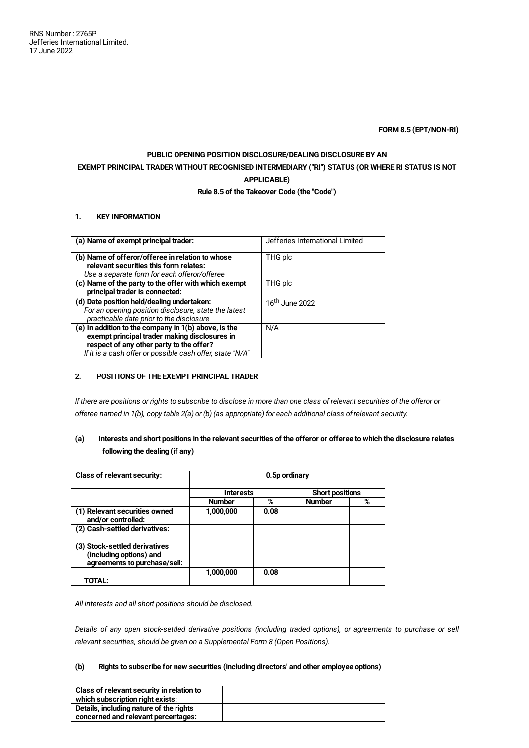**FORM 8.5 (EPT/NON-RI)**

# **PUBLIC OPENING POSITION DISCLOSURE/DEALING DISCLOSURE BY AN EXEMPT PRINCIPAL TRADER WITHOUT RECOGNISED INTERMEDIARY ("RI") STATUS (OR WHERE RI STATUS IS NOT APPLICABLE)**

# **Rule 8.5 of the Takeover Code (the "Code")**

# **1. KEY INFORMATION**

| (a) Name of exempt principal trader:                                                                                                                                                                             | Jefferies International Limited |
|------------------------------------------------------------------------------------------------------------------------------------------------------------------------------------------------------------------|---------------------------------|
| (b) Name of offeror/offeree in relation to whose<br>relevant securities this form relates:                                                                                                                       | THG plc                         |
| Use a separate form for each offeror/offeree                                                                                                                                                                     |                                 |
| (c) Name of the party to the offer with which exempt<br>principal trader is connected:                                                                                                                           | THG plc                         |
| (d) Date position held/dealing undertaken:<br>For an opening position disclosure, state the latest<br>practicable date prior to the disclosure                                                                   | 16 <sup>th</sup> June 2022      |
| (e) In addition to the company in $1(b)$ above, is the<br>exempt principal trader making disclosures in<br>respect of any other party to the offer?<br>If it is a cash offer or possible cash offer, state "N/A" | N/A                             |

# **2. POSITIONS OF THE EXEMPT PRINCIPAL TRADER**

If there are positions or rights to subscribe to disclose in more than one class of relevant securities of the offeror or offeree named in 1(b), copy table 2(a) or (b) (as appropriate) for each additional class of relevant security.

# (a) Interests and short positions in the relevant securities of the offeror or offeree to which the disclosure relates **following the dealing (if any)**

| <b>Class of relevant security:</b>                                                       | 0.5p ordinary    |      |                        |   |
|------------------------------------------------------------------------------------------|------------------|------|------------------------|---|
|                                                                                          | <b>Interests</b> |      | <b>Short positions</b> |   |
|                                                                                          | <b>Number</b>    | %    | Number                 | % |
| (1) Relevant securities owned<br>and/or controlled:                                      | 1,000,000        | 0.08 |                        |   |
| (2) Cash-settled derivatives:                                                            |                  |      |                        |   |
| (3) Stock-settled derivatives<br>(including options) and<br>agreements to purchase/sell: |                  |      |                        |   |
| TOTAL:                                                                                   | 1,000,000        | 0.08 |                        |   |

#### *All interests and all short positions should be disclosed.*

Details of any open stock-settled derivative positions (including traded options), or agreements to purchase or sell *relevant securities, should be given on a Supplemental Form 8 (Open Positions).*

# **(b) Rights to subscribe for new securities (including directors' and other employee options)**

| Class of relevant security in relation to |  |
|-------------------------------------------|--|
| which subscription right exists:          |  |
| Details, including nature of the rights   |  |
| concerned and relevant percentages:       |  |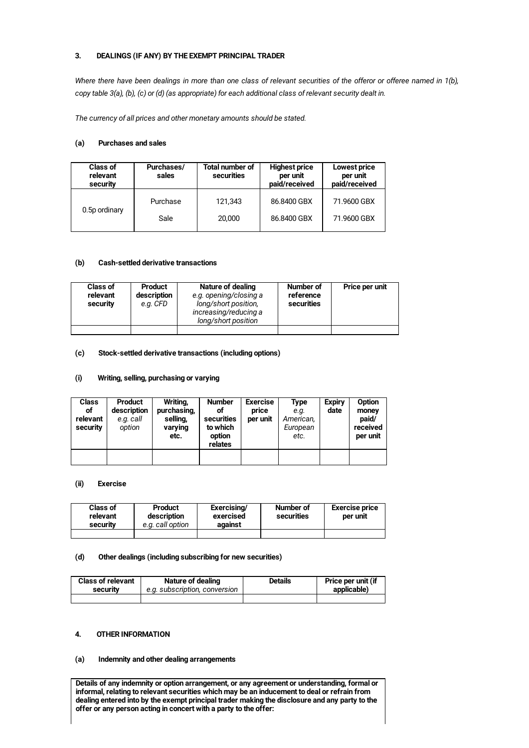# **3. DEALINGS (IF ANY) BY THE EXEMPT PRINCIPAL TRADER**

Where there have been dealings in more than one class of relevant securities of the offeror or offeree named in 1(b), copy table 3(a), (b), (c) or (d) (as appropriate) for each additional class of relevant security dealt in.

*The currency of all prices and other monetary amounts should be stated.*

# **(a) Purchases and sales**

| <b>Class of</b><br>relevant<br>security | Purchases/<br>sales | <b>Total number of</b><br>securities | <b>Highest price</b><br>per unit<br>paid/received | Lowest price<br>per unit<br>paid/received |
|-----------------------------------------|---------------------|--------------------------------------|---------------------------------------------------|-------------------------------------------|
| 0.5p ordinary                           | Purchase            | 121.343                              | 86,8400 GBX                                       | 71,9600 GBX                               |
|                                         | Sale                | 20,000                               | 86,8400 GBX                                       | 71,9600 GBX                               |

## **(b) Cash-settled derivative transactions**

| <b>Class of</b><br>relevant<br>security | <b>Product</b><br>description<br>e.g. CFD | Nature of dealing<br>e.g. opening/closing a<br>long/short position,<br>increasing/reducing a<br>long/short position | Number of<br>reference<br>securities | Price per unit |
|-----------------------------------------|-------------------------------------------|---------------------------------------------------------------------------------------------------------------------|--------------------------------------|----------------|
|                                         |                                           |                                                                                                                     |                                      |                |

#### **(c) Stock-settled derivative transactions (including options)**

#### **(i) Writing, selling, purchasing or varying**

| <b>Class</b><br>οf<br>relevant<br>security | <b>Product</b><br>description<br>e.g. call<br>option | Writing,<br>purchasing,<br>selling,<br>varying<br>etc. | <b>Number</b><br>οf<br>securities<br>to which<br>option<br>relates | <b>Exercise</b><br>price<br>per unit | Type<br>e.g.<br>American,<br>European<br>etc. | <b>Expiry</b><br>date | Option<br>money<br>paid/<br>received<br>per unit |
|--------------------------------------------|------------------------------------------------------|--------------------------------------------------------|--------------------------------------------------------------------|--------------------------------------|-----------------------------------------------|-----------------------|--------------------------------------------------|
|                                            |                                                      |                                                        |                                                                    |                                      |                                               |                       |                                                  |

#### **(ii) Exercise**

| <b>Class of</b><br>relevant<br>security | Product<br>description<br>e.g. call option | Exercising/<br>exercised<br>against | Number of<br>securities | <b>Exercise price</b><br>per unit |
|-----------------------------------------|--------------------------------------------|-------------------------------------|-------------------------|-----------------------------------|
|                                         |                                            |                                     |                         |                                   |

### **(d) Other dealings (including subscribing for new securities)**

| <b>Class of relevant</b> | Nature of dealing             | <b>Details</b> | Price per unit (if |
|--------------------------|-------------------------------|----------------|--------------------|
| security                 | e.g. subscription, conversion |                | applicable)        |
|                          |                               |                |                    |

### **4. OTHER INFORMATION**

#### **(a) Indemnity and other dealing arrangements**

**Details of any indemnity or option arrangement, or any agreement or understanding, formal or informal, relating to relevant securities which may be an inducement to deal or refrain from dealing entered into by the exempt principal trader making the disclosure and any party to the offer or any person acting in concert with a party to the offer:**